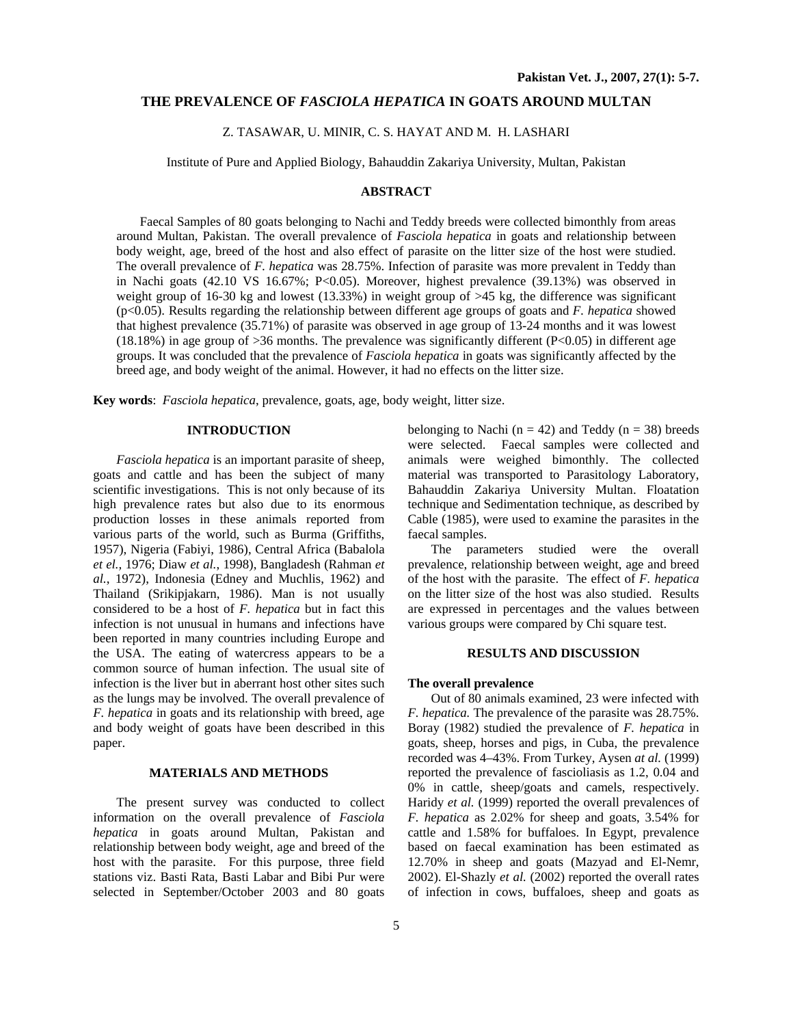## **THE PREVALENCE OF** *FASCIOLA HEPATICA* **IN GOATS AROUND MULTAN**

## Z. TASAWAR, U. MINIR, C. S. HAYAT AND M. H. LASHARI

Institute of Pure and Applied Biology, Bahauddin Zakariya University, Multan, Pakistan

## **ABSTRACT**

Faecal Samples of 80 goats belonging to Nachi and Teddy breeds were collected bimonthly from areas around Multan, Pakistan. The overall prevalence of *Fasciola hepatica* in goats and relationship between body weight, age, breed of the host and also effect of parasite on the litter size of the host were studied. The overall prevalence of *F. hepatica* was 28.75%. Infection of parasite was more prevalent in Teddy than in Nachi goats (42.10 VS 16.67%; P<0.05). Moreover, highest prevalence (39.13%) was observed in weight group of 16-30 kg and lowest (13.33%) in weight group of >45 kg, the difference was significant (p<0.05). Results regarding the relationship between different age groups of goats and *F. hepatica* showed that highest prevalence (35.71%) of parasite was observed in age group of 13-24 months and it was lowest (18.18%) in age group of >36 months. The prevalence was significantly different (P<0.05) in different age groups. It was concluded that the prevalence of *Fasciola hepatica* in goats was significantly affected by the breed age, and body weight of the animal. However, it had no effects on the litter size.

**Key words**: *Fasciola hepatica*, prevalence, goats, age, body weight, litter size.

## **INTRODUCTION**

*Fasciola hepatica* is an important parasite of sheep, goats and cattle and has been the subject of many scientific investigations. This is not only because of its high prevalence rates but also due to its enormous production losses in these animals reported from various parts of the world, such as Burma (Griffiths, 1957), Nigeria (Fabiyi, 1986), Central Africa (Babalola *et el.,* 1976; Diaw *et al.*, 1998), Bangladesh (Rahman *et al.*, 1972), Indonesia (Edney and Muchlis, 1962) and Thailand (Srikipjakarn, 1986). Man is not usually considered to be a host of *F. hepatica* but in fact this infection is not unusual in humans and infections have been reported in many countries including Europe and the USA. The eating of watercress appears to be a common source of human infection. The usual site of infection is the liver but in aberrant host other sites such as the lungs may be involved. The overall prevalence of *F. hepatica* in goats and its relationship with breed, age and body weight of goats have been described in this paper.

#### **MATERIALS AND METHODS**

The present survey was conducted to collect information on the overall prevalence of *Fasciola hepatica* in goats around Multan, Pakistan and relationship between body weight, age and breed of the host with the parasite. For this purpose, three field stations viz. Basti Rata, Basti Labar and Bibi Pur were selected in September/October 2003 and 80 goats

belonging to Nachi ( $n = 42$ ) and Teddy ( $n = 38$ ) breeds were selected. Faecal samples were collected and animals were weighed bimonthly. The collected material was transported to Parasitology Laboratory, Bahauddin Zakariya University Multan. Floatation technique and Sedimentation technique, as described by Cable (1985), were used to examine the parasites in the faecal samples.

The parameters studied were the overall prevalence, relationship between weight, age and breed of the host with the parasite. The effect of *F. hepatica* on the litter size of the host was also studied. Results are expressed in percentages and the values between various groups were compared by Chi square test.

#### **RESULTS AND DISCUSSION**

#### **The overall prevalence**

Out of 80 animals examined, 23 were infected with *F. hepatica.* The prevalence of the parasite was 28.75%. Boray (1982) studied the prevalence of *F. hepatica* in goats, sheep, horses and pigs, in Cuba, the prevalence recorded was 4–43%. From Turkey, Aysen *at al.* (1999) reported the prevalence of fascioliasis as 1.2, 0.04 and 0% in cattle, sheep/goats and camels, respectively. Haridy *et al.* (1999) reported the overall prevalences of *F. hepatica* as 2.02% for sheep and goats, 3.54% for cattle and 1.58% for buffaloes. In Egypt, prevalence based on faecal examination has been estimated as 12.70% in sheep and goats (Mazyad and El-Nemr, 2002). El-Shazly *et al.* (2002) reported the overall rates of infection in cows, buffaloes, sheep and goats as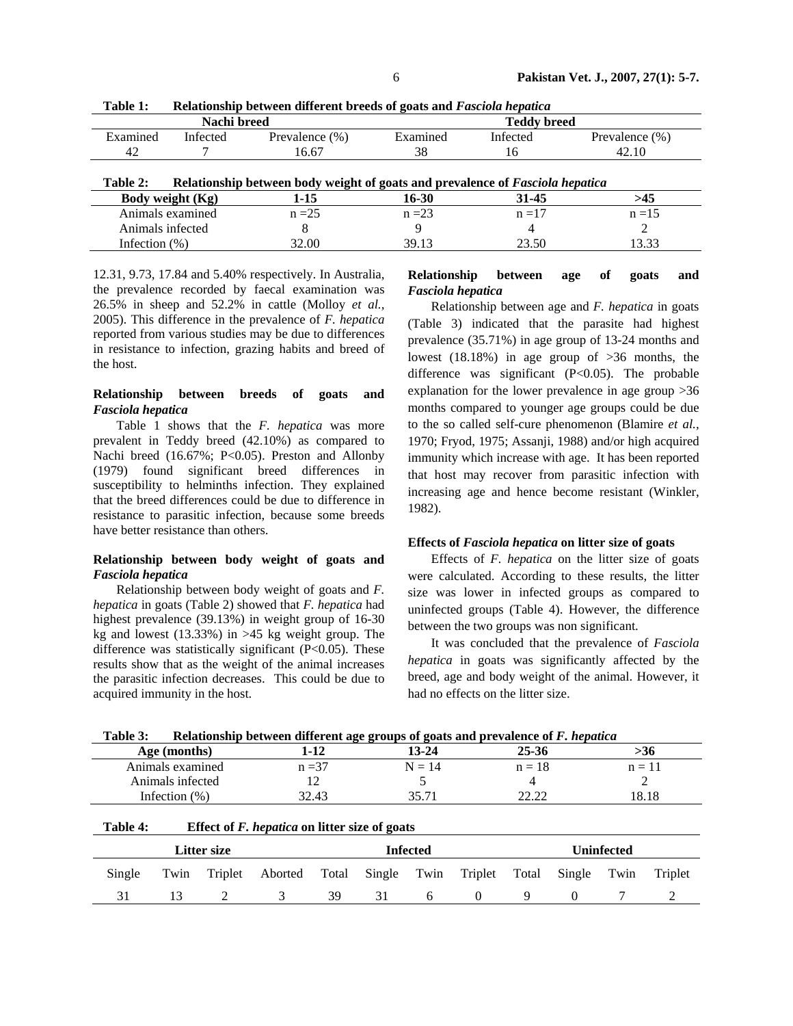|                  | Nachi breed                                                                   |                   | <b>Teddy breed</b> |          |                   |  |  |  |  |
|------------------|-------------------------------------------------------------------------------|-------------------|--------------------|----------|-------------------|--|--|--|--|
| Examined         | Infected                                                                      | Prevalence $(\%)$ | Examined           | Infected | Prevalence $(\%)$ |  |  |  |  |
| 42               |                                                                               | 16.67             | 38                 | 16       | 42.10             |  |  |  |  |
|                  |                                                                               |                   |                    |          |                   |  |  |  |  |
| Table 2:         | Relationship between body weight of goats and prevalence of Fasciola hepatica |                   |                    |          |                   |  |  |  |  |
| Body weight (Kg) |                                                                               | 1-15              | 16-30              |          | >45               |  |  |  |  |
| Animals examined |                                                                               | $n = 25$          | $n = 23$           | $n = 17$ | $n = 15$          |  |  |  |  |
| Animals infected |                                                                               | 8                 |                    |          |                   |  |  |  |  |
| Infection $(\%)$ |                                                                               | 32.00             | 39.13              | 23.50    | 13.33             |  |  |  |  |

**Table 1: Relationship between different breeds of goats and** *Fasciola hepatica*

12.31, 9.73, 17.84 and 5.40% respectively. In Australia, the prevalence recorded by faecal examination was 26.5% in sheep and 52.2% in cattle (Molloy *et al.,*  2005). This difference in the prevalence of *F. hepatica* reported from various studies may be due to differences in resistance to infection, grazing habits and breed of the host.

## **Relationship between breeds of goats and**  *Fasciola hepatica*

Table 1 shows that the *F. hepatica* was more prevalent in Teddy breed (42.10%) as compared to Nachi breed (16.67%; P<0.05). Preston and Allonby (1979) found significant breed differences in susceptibility to helminths infection. They explained that the breed differences could be due to difference in resistance to parasitic infection, because some breeds have better resistance than others.

## **Relationship between body weight of goats and**  *Fasciola hepatica*

Relationship between body weight of goats and *F. hepatica* in goats (Table 2) showed that *F. hepatica* had highest prevalence (39.13%) in weight group of 16-30 kg and lowest (13.33%) in >45 kg weight group. The difference was statistically significant  $(P<0.05)$ . These results show that as the weight of the animal increases the parasitic infection decreases. This could be due to acquired immunity in the host.

# **Relationship between age of goats and**  *Fasciola hepatica*

Relationship between age and *F. hepatica* in goats (Table 3) indicated that the parasite had highest prevalence (35.71%) in age group of 13-24 months and lowest (18.18%) in age group of >36 months, the difference was significant  $(P<0.05)$ . The probable explanation for the lower prevalence in age group >36 months compared to younger age groups could be due to the so called self-cure phenomenon (Blamire *et al.,* 1970; Fryod, 1975; Assanji, 1988) and/or high acquired immunity which increase with age. It has been reported that host may recover from parasitic infection with increasing age and hence become resistant (Winkler, 1982).

### **Effects of** *Fasciola hepatica* **on litter size of goats**

Effects of *F. hepatica* on the litter size of goats were calculated. According to these results, the litter size was lower in infected groups as compared to uninfected groups (Table 4). However, the difference between the two groups was non significant.

It was concluded that the prevalence of *Fasciola hepatica* in goats was significantly affected by the breed, age and body weight of the animal. However, it had no effects on the litter size.

| 13-24<br>1-12 |          | 25-36    | >30                                                                                    |  |
|---------------|----------|----------|----------------------------------------------------------------------------------------|--|
| $n = 37$      | $N = 14$ | $n = 18$ | $n = 11$                                                                               |  |
|               |          |          |                                                                                        |  |
| 32.43         | 35.71    | າາ າາ    | 18.18                                                                                  |  |
|               |          |          | Relationship between unterent age groups of goats and prevalence of F, <i>hepatica</i> |  |

**Table 3: Relationship between different age groups of goats and prevalence of** *F. hepatica*

| Table 4: | Effect of <i>F. hepatica</i> on litter size of goats |         |                                                     |    |                 |   |          |                   |  |  |         |
|----------|------------------------------------------------------|---------|-----------------------------------------------------|----|-----------------|---|----------|-------------------|--|--|---------|
|          | Litter size                                          |         |                                                     |    | <b>Infected</b> |   |          | <b>Uninfected</b> |  |  |         |
| Single   | Twin                                                 | Triplet | Aborted Total Single Twin Triplet Total Single Twin |    |                 |   |          |                   |  |  | Triplet |
|          | 13                                                   |         | 3                                                   | 39 | 31              | 6 | $\theta$ | Q.                |  |  |         |